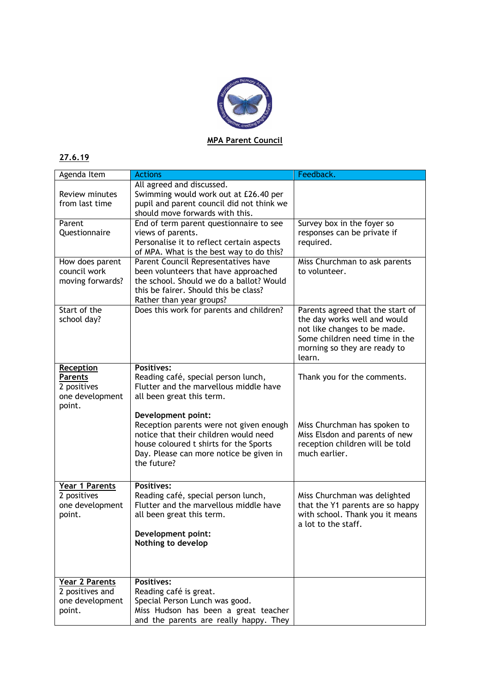

## **27.6.19**

| Agenda Item                                                                    | <b>Actions</b>                                                                                                                                                                                             | Feedback.                                                                                                                                                                    |
|--------------------------------------------------------------------------------|------------------------------------------------------------------------------------------------------------------------------------------------------------------------------------------------------------|------------------------------------------------------------------------------------------------------------------------------------------------------------------------------|
| Review minutes<br>from last time                                               | All agreed and discussed.<br>Swimming would work out at £26.40 per<br>pupil and parent council did not think we<br>should move forwards with this.                                                         |                                                                                                                                                                              |
| Parent<br>Questionnaire                                                        | End of term parent questionnaire to see<br>views of parents.<br>Personalise it to reflect certain aspects<br>of MPA. What is the best way to do this?                                                      | Survey box in the foyer so<br>responses can be private if<br>required.                                                                                                       |
| How does parent<br>council work<br>moving forwards?                            | Parent Council Representatives have<br>been volunteers that have approached<br>the school. Should we do a ballot? Would<br>this be fairer. Should this be class?<br>Rather than year groups?               | Miss Churchman to ask parents<br>to volunteer.                                                                                                                               |
| Start of the<br>school day?                                                    | Does this work for parents and children?                                                                                                                                                                   | Parents agreed that the start of<br>the day works well and would<br>not like changes to be made.<br>Some children need time in the<br>morning so they are ready to<br>learn. |
| <b>Reception</b><br><b>Parents</b><br>2 positives<br>one development<br>point. | <b>Positives:</b><br>Reading café, special person lunch,<br>Flutter and the marvellous middle have<br>all been great this term.                                                                            | Thank you for the comments.                                                                                                                                                  |
|                                                                                | Development point:<br>Reception parents were not given enough<br>notice that their children would need<br>house coloured t shirts for the Sports<br>Day. Please can more notice be given in<br>the future? | Miss Churchman has spoken to<br>Miss Elsdon and parents of new<br>reception children will be told<br>much earlier.                                                           |
| Year 1 Parents<br>2 positives<br>one development<br>point.                     | <b>Positives:</b><br>Reading café, special person lunch,<br>Flutter and the marvellous middle have<br>all been great this term.<br>Development point:<br>Nothing to develop                                | Miss Churchman was delighted<br>that the Y1 parents are so happy<br>with school. Thank you it means<br>a lot to the staff.                                                   |
| <b>Year 2 Parents</b><br>2 positives and<br>one development<br>point.          | <b>Positives:</b><br>Reading café is great.<br>Special Person Lunch was good.<br>Miss Hudson has been a great teacher<br>and the parents are really happy. They                                            |                                                                                                                                                                              |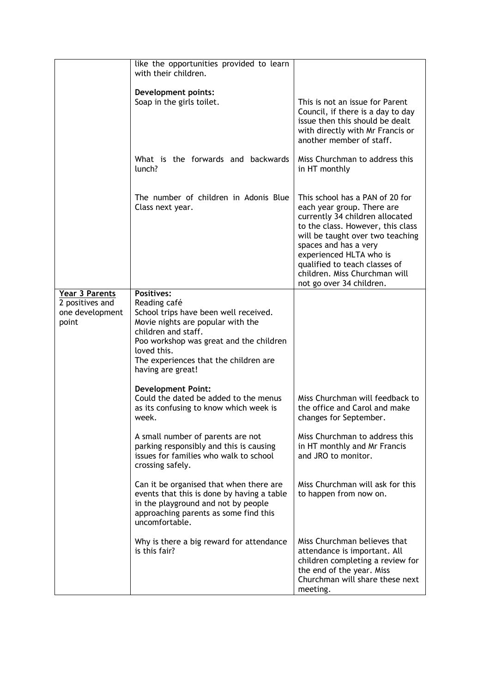|                                          | like the opportunities provided to learn<br>with their children.                                                                                                                                                          |                                                                                                                                                                                                                                                                                                                             |
|------------------------------------------|---------------------------------------------------------------------------------------------------------------------------------------------------------------------------------------------------------------------------|-----------------------------------------------------------------------------------------------------------------------------------------------------------------------------------------------------------------------------------------------------------------------------------------------------------------------------|
|                                          | <b>Development points:</b><br>Soap in the girls toilet.                                                                                                                                                                   | This is not an issue for Parent<br>Council, if there is a day to day<br>issue then this should be dealt<br>with directly with Mr Francis or<br>another member of staff.                                                                                                                                                     |
|                                          | What is the forwards and backwards<br>lunch?                                                                                                                                                                              | Miss Churchman to address this<br>in HT monthly                                                                                                                                                                                                                                                                             |
|                                          | The number of children in Adonis Blue<br>Class next year.                                                                                                                                                                 | This school has a PAN of 20 for<br>each year group. There are<br>currently 34 children allocated<br>to the class. However, this class<br>will be taught over two teaching<br>spaces and has a very<br>experienced HLTA who is<br>qualified to teach classes of<br>children. Miss Churchman will<br>not go over 34 children. |
| <b>Year 3 Parents</b><br>2 positives and | <b>Positives:</b><br>Reading café                                                                                                                                                                                         |                                                                                                                                                                                                                                                                                                                             |
| one development<br>point                 | School trips have been well received.<br>Movie nights are popular with the<br>children and staff.<br>Poo workshop was great and the children<br>loved this.<br>The experiences that the children are<br>having are great! |                                                                                                                                                                                                                                                                                                                             |
|                                          | <b>Development Point:</b><br>Could the dated be added to the menus<br>as its confusing to know which week is<br>week.                                                                                                     | Miss Churchman will feedback to<br>the office and Carol and make<br>changes for September.                                                                                                                                                                                                                                  |
|                                          | A small number of parents are not<br>parking responsibly and this is causing<br>issues for families who walk to school<br>crossing safely.                                                                                | Miss Churchman to address this<br>in HT monthly and Mr Francis<br>and JRO to monitor.                                                                                                                                                                                                                                       |
|                                          | Can it be organised that when there are<br>events that this is done by having a table<br>in the playground and not by people<br>approaching parents as some find this<br>uncomfortable.                                   | Miss Churchman will ask for this<br>to happen from now on.                                                                                                                                                                                                                                                                  |
|                                          | Why is there a big reward for attendance<br>is this fair?                                                                                                                                                                 | Miss Churchman believes that<br>attendance is important. All<br>children completing a review for<br>the end of the year. Miss<br>Churchman will share these next<br>meeting.                                                                                                                                                |